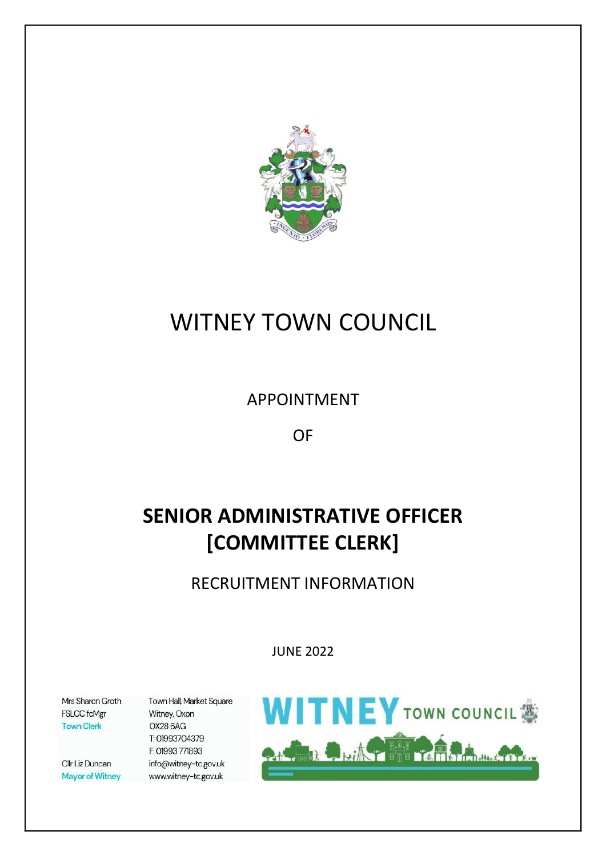

# WITNEY TOWN COUNCIL

APPOINTMENT

OF

# **SENIOR ADMINISTRATIVE OFFICER [COMMITTEE CLERK]**

RECRUITMENT INFORMATION

JUNE 2022

Mrs Sharon Groth FSLCC fcMgr **Town Clerk** 

Cllr Liz Duncan **Mayor of Witney**  Town Hall, Market Square Witney, Oxon **OX28 6AG** T: 01993704379 F: 01993 771893 info@witney-tc.gov.uk www.witney-tc.gov.uk

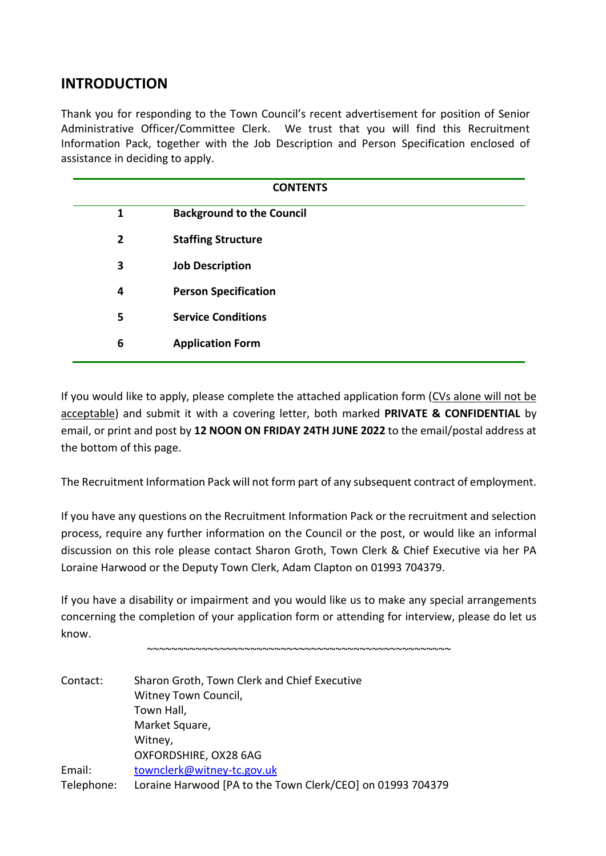# **INTRODUCTION**

Thank you for responding to the Town Council's recent advertisement for position of Senior Administrative Officer/Committee Clerk. We trust that you will find this Recruitment Information Pack, together with the Job Description and Person Specification enclosed of assistance in deciding to apply.

| <b>CONTENTS</b> |                                  |  |  |  |  |
|-----------------|----------------------------------|--|--|--|--|
| 1               | <b>Background to the Council</b> |  |  |  |  |
| $\overline{2}$  | <b>Staffing Structure</b>        |  |  |  |  |
| 3               | <b>Job Description</b>           |  |  |  |  |
| 4               | <b>Person Specification</b>      |  |  |  |  |
| 5               | <b>Service Conditions</b>        |  |  |  |  |
| 6               | <b>Application Form</b>          |  |  |  |  |

If you would like to apply, please complete the attached application form (CVs alone will not be acceptable) and submit it with a covering letter, both marked **PRIVATE & CONFIDENTIAL** by email, or print and post by **12 NOON ON FRIDAY 24TH JUNE 2022** to the email/postal address at the bottom of this page.

The Recruitment Information Pack will not form part of any subsequent contract of employment.

If you have any questions on the Recruitment Information Pack or the recruitment and selection process, require any further information on the Council or the post, or would like an informal discussion on this role please contact Sharon Groth, Town Clerk & Chief Executive via her PA Loraine Harwood or the Deputy Town Clerk, Adam Clapton on 01993 704379.

If you have a disability or impairment and you would like us to make any special arrangements concerning the completion of your application form or attending for interview, please do let us know.

~~~~~~~~~~~~~~~~~~~~~~~~~~~~~~~~~~~~~~~~~~~~~~~~~~

| Contact:   | Sharon Groth, Town Clerk and Chief Executive               |
|------------|------------------------------------------------------------|
|            | Witney Town Council,                                       |
|            | Town Hall,                                                 |
|            | Market Square,                                             |
|            | Witney,                                                    |
|            | OXFORDSHIRE, OX28 6AG                                      |
| Email:     | townclerk@witney-tc.gov.uk                                 |
| Telephone: | Loraine Harwood [PA to the Town Clerk/CEO] on 01993 704379 |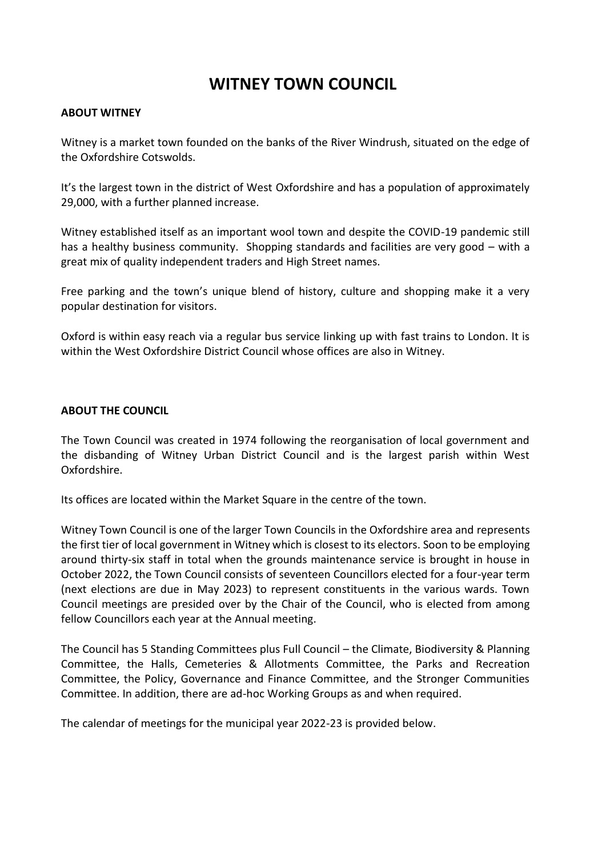# **WITNEY TOWN COUNCIL**

### **ABOUT WITNEY**

Witney is a market town founded on the banks of the River Windrush, situated on the edge of the Oxfordshire Cotswolds.

It's the largest town in the district of West Oxfordshire and has a population of approximately 29,000, with a further planned increase.

Witney established itself as an important wool town and despite the COVID-19 pandemic still has a healthy business community. Shopping standards and facilities are very good – with a great mix of quality independent traders and High Street names.

Free parking and the town's unique blend of history, culture and shopping make it a very popular destination for visitors.

Oxford is within easy reach via a regular bus service linking up with fast trains to London. It is within the West Oxfordshire District Council whose offices are also in Witney.

### **ABOUT THE COUNCIL**

The Town Council was created in 1974 following the reorganisation of local government and the disbanding of Witney Urban District Council and is the largest parish within West Oxfordshire.

Its offices are located within the Market Square in the centre of the town.

Witney Town Council is one of the larger Town Councils in the Oxfordshire area and represents the first tier of local government in Witney which is closest to its electors. Soon to be employing around thirty-six staff in total when the grounds maintenance service is brought in house in October 2022, the Town Council consists of seventeen Councillors elected for a four-year term (next elections are due in May 2023) to represent constituents in the various wards. Town Council meetings are presided over by the Chair of the Council, who is elected from among fellow Councillors each year at the Annual meeting.

The Council has 5 Standing Committees plus Full Council – the Climate, Biodiversity & Planning Committee, the Halls, Cemeteries & Allotments Committee, the Parks and Recreation Committee, the Policy, Governance and Finance Committee, and the Stronger Communities Committee. In addition, there are ad-hoc Working Groups as and when required.

The calendar of meetings for the municipal year 2022-23 is provided below.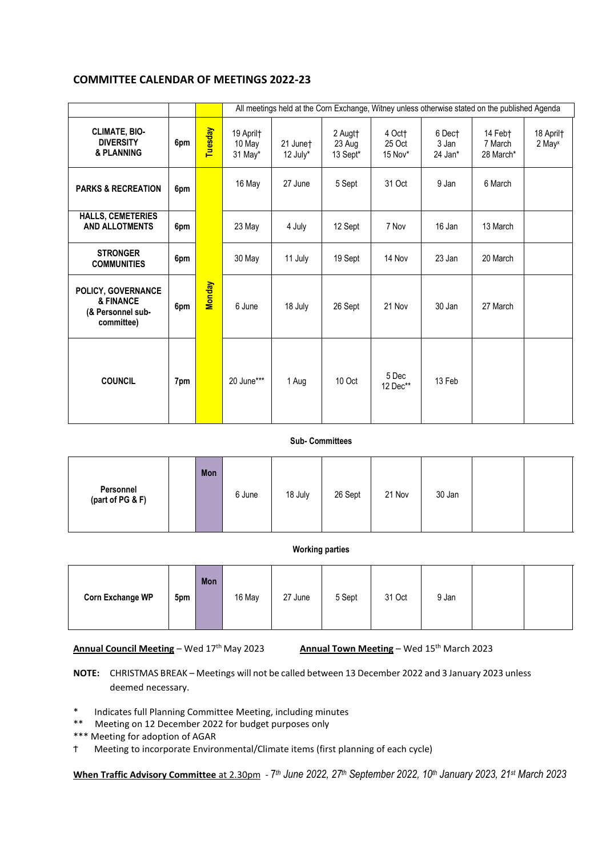### **COMMITTEE CALENDAR OF MEETINGS 2022-23**

|                                                                    |     |               |                                |                      |                               |                             |                            | All meetings held at the Corn Exchange, Witney unless otherwise stated on the published Agenda |                                 |
|--------------------------------------------------------------------|-----|---------------|--------------------------------|----------------------|-------------------------------|-----------------------------|----------------------------|------------------------------------------------------------------------------------------------|---------------------------------|
| <b>CLIMATE, BIO-</b><br><b>DIVERSITY</b><br>& PLANNING             | 6pm | Tuesday       | 19 April†<br>10 May<br>31 May* | 21 Junet<br>12 July* | 2 Augtt<br>23 Aug<br>13 Sept* | 4 Oct†<br>25 Oct<br>15 Nov* | 6 Dect<br>3 Jan<br>24 Jan* | 14 Febt<br>7 March<br>28 March*                                                                | 18 April†<br>2 May <sup>x</sup> |
| <b>PARKS &amp; RECREATION</b>                                      | 6pm |               | 16 May                         | 27 June              | 5 Sept                        | 31 Oct                      | 9 Jan                      | 6 March                                                                                        |                                 |
| <b>HALLS, CEMETERIES</b><br><b>AND ALLOTMENTS</b>                  | 6pm |               | 23 May                         | 4 July               | 12 Sept                       | 7 Nov                       | 16 Jan                     | 13 March                                                                                       |                                 |
| <b>STRONGER</b><br><b>COMMUNITIES</b>                              | 6pm |               | 30 May                         | 11 July              | 19 Sept                       | 14 Nov                      | 23 Jan                     | 20 March                                                                                       |                                 |
| POLICY, GOVERNANCE<br>& FINANCE<br>(& Personnel sub-<br>committee) | 6pm | <b>Monday</b> | 6 June                         | 18 July              | 26 Sept                       | 21 Nov                      | 30 Jan                     | 27 March                                                                                       |                                 |
| <b>COUNCIL</b>                                                     | 7pm |               | 20 June***                     | 1 Aug                | 10 Oct                        | 5 Dec<br>12 Dec**           | 13 Feb                     |                                                                                                |                                 |

#### **Sub- Committees**

|                               | Mon |        |         |         |        |        |  |
|-------------------------------|-----|--------|---------|---------|--------|--------|--|
| Personnel<br>(part of PG & F) |     | 6 June | 18 July | 26 Sept | 21 Nov | 30 Jan |  |

#### **Working parties**

| <b>Corn Exchange WP</b> | 5pm | Mon | 16 May | 27 June | 5 Sept | 31 Oct | 9 Jan |  |  |
|-------------------------|-----|-----|--------|---------|--------|--------|-------|--|--|
|-------------------------|-----|-----|--------|---------|--------|--------|-------|--|--|

**Annual Council Meeting** – Wed 17<sup>th</sup> May 2023

Annual Town Meeting – Wed 15<sup>th</sup> March 2023

**NOTE:** CHRISTMAS BREAK – Meetings will not be called between 13 December 2022 and 3 January 2023 unless deemed necessary.

\* Indicates full Planning Committee Meeting, including minutes

- \*\* Meeting on 12 December 2022 for budget purposes only
- \*\*\* Meeting for adoption of AGAR
- Ϯ Meeting to incorporate Environmental/Climate items (first planning of each cycle)

**When Traffic Advisory Committee** at 2.30pm - 7 *th June 2022, 27 th September 2022, 10 th January 2023, 21 st March 2023*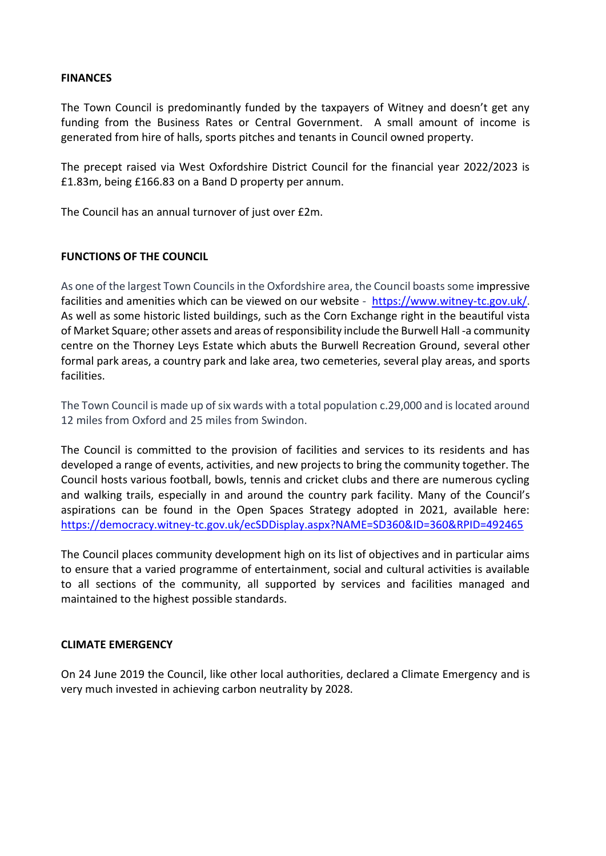### **FINANCES**

The Town Council is predominantly funded by the taxpayers of Witney and doesn't get any funding from the Business Rates or Central Government. A small amount of income is generated from hire of halls, sports pitches and tenants in Council owned property.

The precept raised via West Oxfordshire District Council for the financial year 2022/2023 is £1.83m, being £166.83 on a Band D property per annum.

The Council has an annual turnover of just over £2m.

### **FUNCTIONS OF THE COUNCIL**

As one of the largest Town Councils in the Oxfordshire area, the Council boasts some impressive facilities and amenities which can be viewed on our website - [https://www.witney-tc.gov.uk/.](https://www.witney-tc.gov.uk/) As well as some historic listed buildings, such as the Corn Exchange right in the beautiful vista of Market Square; other assets and areas of responsibility include the Burwell Hall -a community centre on the Thorney Leys Estate which abuts the Burwell Recreation Ground, several other formal park areas, a country park and lake area, two cemeteries, several play areas, and sports facilities.

The Town Council is made up of six wards with a total population c.29,000 and is located around 12 miles from Oxford and 25 miles from Swindon.

The Council is committed to the provision of facilities and services to its residents and has developed a range of events, activities, and new projects to bring the community together. The Council hosts various football, bowls, tennis and cricket clubs and there are numerous cycling and walking trails, especially in and around the country park facility. Many of the Council's aspirations can be found in the Open Spaces Strategy adopted in 2021, available here: <https://democracy.witney-tc.gov.uk/ecSDDisplay.aspx?NAME=SD360&ID=360&RPID=492465>

The Council places community development high on its list of objectives and in particular aims to ensure that a varied programme of entertainment, social and cultural activities is available to all sections of the community, all supported by services and facilities managed and maintained to the highest possible standards.

### **CLIMATE EMERGENCY**

On 24 June 2019 the Council, like other local authorities, declared a Climate Emergency and is very much invested in achieving carbon neutrality by 2028.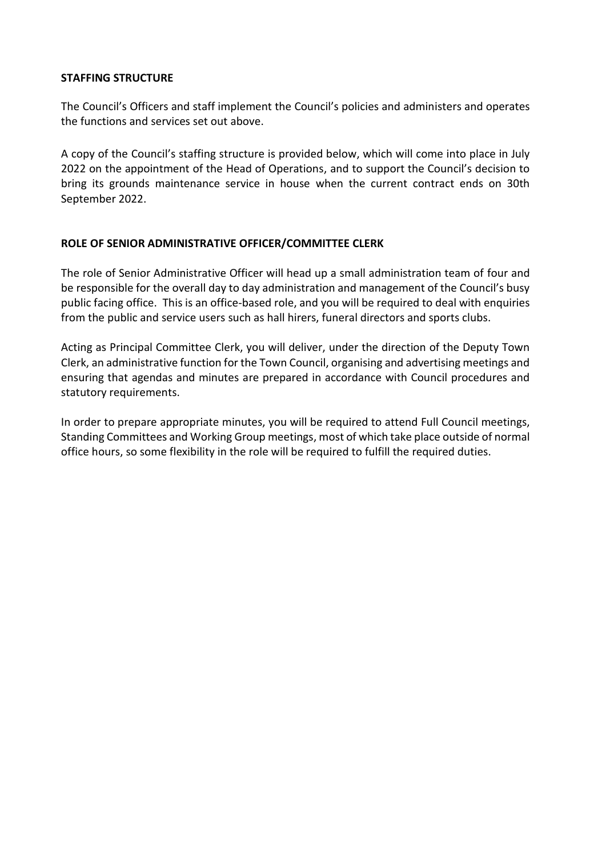### **STAFFING STRUCTURE**

The Council's Officers and staff implement the Council's policies and administers and operates the functions and services set out above.

A copy of the Council's staffing structure is provided below, which will come into place in July 2022 on the appointment of the Head of Operations, and to support the Council's decision to bring its grounds maintenance service in house when the current contract ends on 30th September 2022.

### **ROLE OF SENIOR ADMINISTRATIVE OFFICER/COMMITTEE CLERK**

The role of Senior Administrative Officer will head up a small administration team of four and be responsible for the overall day to day administration and management of the Council's busy public facing office. This is an office-based role, and you will be required to deal with enquiries from the public and service users such as hall hirers, funeral directors and sports clubs.

Acting as Principal Committee Clerk, you will deliver, under the direction of the Deputy Town Clerk, an administrative function for the Town Council, organising and advertising meetings and ensuring that agendas and minutes are prepared in accordance with Council procedures and statutory requirements.

In order to prepare appropriate minutes, you will be required to attend Full Council meetings, Standing Committees and Working Group meetings, most of which take place outside of normal office hours, so some flexibility in the role will be required to fulfill the required duties.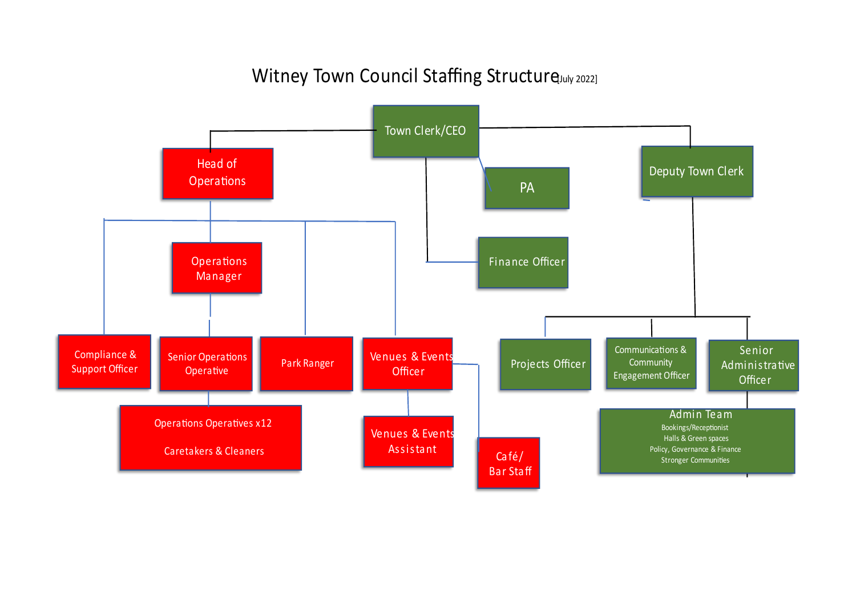# Witney Town Council Staffing Structure July 2022]

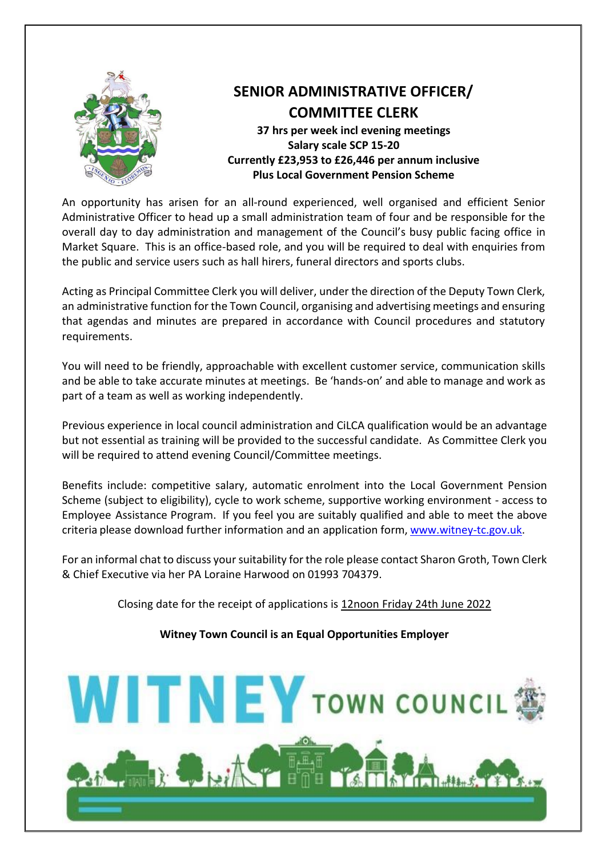

# **SENIOR ADMINISTRATIVE OFFICER/ COMMITTEE CLERK 37 hrs per week incl evening meetings Salary scale SCP 15-20 Currently £23,953 to £26,446 per annum inclusive Plus Local Government Pension Scheme**

An opportunity has arisen for an all-round experienced, well organised and efficient Senior Administrative Officer to head up a small administration team of four and be responsible for the overall day to day administration and management of the Council's busy public facing office in Market Square. This is an office-based role, and you will be required to deal with enquiries from the public and service users such as hall hirers, funeral directors and sports clubs.

Acting as Principal Committee Clerk you will deliver, under the direction of the Deputy Town Clerk, an administrative function for the Town Council, organising and advertising meetings and ensuring that agendas and minutes are prepared in accordance with Council procedures and statutory requirements.

You will need to be friendly, approachable with excellent customer service, communication skills and be able to take accurate minutes at meetings. Be 'hands-on' and able to manage and work as part of a team as well as working independently.

Previous experience in local council administration and CiLCA qualification would be an advantage but not essential as training will be provided to the successful candidate. As Committee Clerk you will be required to attend evening Council/Committee meetings.

Benefits include: competitive salary, automatic enrolment into the Local Government Pension Scheme (subject to eligibility), cycle to work scheme, supportive working environment - access to Employee Assistance Program. If you feel you are suitably qualified and able to meet the above criteria please download further information and an application form, [www.witney-tc.gov.uk.](http://www.witney-tc.gov.uk/)

For an informal chat to discuss your suitability for the role please contact Sharon Groth, Town Clerk & Chief Executive via her PA Loraine Harwood on 01993 704379.

Closing date for the receipt of applications is 12noon Friday 24th June 2022

### **Witney Town Council is an Equal Opportunities Employer**

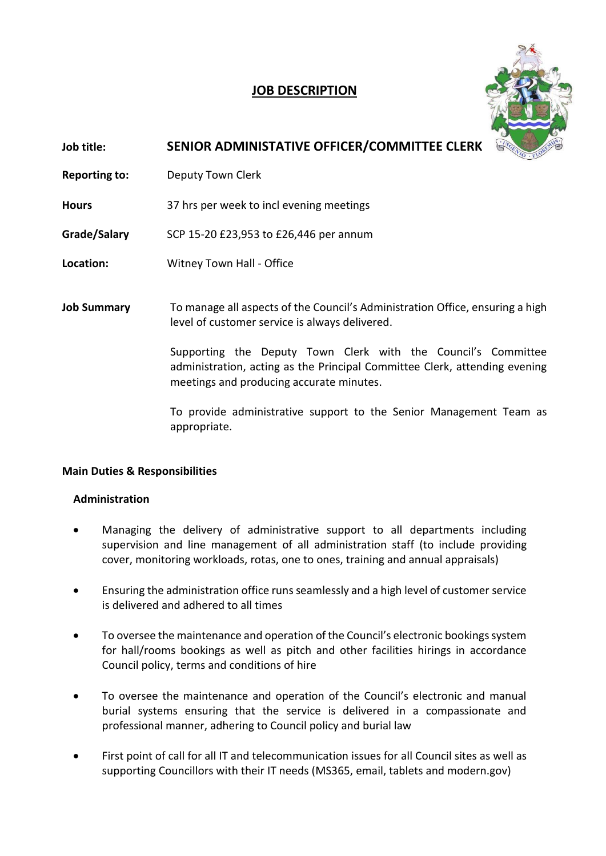## **JOB DESCRIPTION**



# **Job title: SENIOR ADMINISTATIVE OFFICER/COMMITTEE CLERK**

**Reporting to:** Deputy Town Clerk

**Hours** 37 hrs per week to incl evening meetings

**Grade/Salary** SCP 15-20 £23,953 to £26,446 per annum

- **Location:** Witney Town Hall Office
- **Job Summary** To manage all aspects of the Council's Administration Office, ensuring a high level of customer service is always delivered.

Supporting the Deputy Town Clerk with the Council's Committee administration, acting as the Principal Committee Clerk, attending evening meetings and producing accurate minutes.

To provide administrative support to the Senior Management Team as appropriate.

### **Main Duties & Responsibilities**

### **Administration**

- Managing the delivery of administrative support to all departments including supervision and line management of all administration staff (to include providing cover, monitoring workloads, rotas, one to ones, training and annual appraisals)
- Ensuring the administration office runs seamlessly and a high level of customer service is delivered and adhered to all times
- To oversee the maintenance and operation of the Council's electronic bookings system for hall/rooms bookings as well as pitch and other facilities hirings in accordance Council policy, terms and conditions of hire
- To oversee the maintenance and operation of the Council's electronic and manual burial systems ensuring that the service is delivered in a compassionate and professional manner, adhering to Council policy and burial law
- First point of call for all IT and telecommunication issues for all Council sites as well as supporting Councillors with their IT needs (MS365, email, tablets and modern.gov)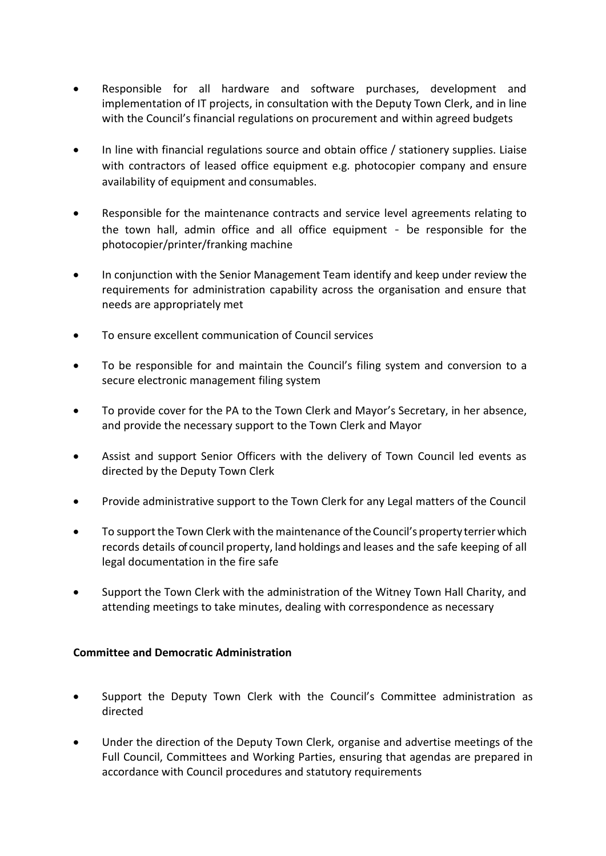- Responsible for all hardware and software purchases, development and implementation of IT projects, in consultation with the Deputy Town Clerk, and in line with the Council's financial regulations on procurement and within agreed budgets
- In line with financial regulations source and obtain office / stationery supplies. Liaise with contractors of leased office equipment e.g. photocopier company and ensure availability of equipment and consumables.
- Responsible for the maintenance contracts and service level agreements relating to the town hall, admin office and all office equipment - be responsible for the photocopier/printer/franking machine
- In conjunction with the Senior Management Team identify and keep under review the requirements for administration capability across the organisation and ensure that needs are appropriately met
- To ensure excellent communication of Council services
- To be responsible for and maintain the Council's filing system and conversion to a secure electronic management filing system
- To provide cover for the PA to the Town Clerk and Mayor's Secretary, in her absence, and provide the necessary support to the Town Clerk and Mayor
- Assist and support Senior Officers with the delivery of Town Council led events as directed by the Deputy Town Clerk
- Provide administrative support to the Town Clerk for any Legal matters of the Council
- To support the Town Clerk with the maintenance oftheCouncil's property terrierwhich records details of council property, land holdings and leases and the safe keeping of all legal documentation in the fire safe
- Support the Town Clerk with the administration of the Witney Town Hall Charity, and attending meetings to take minutes, dealing with correspondence as necessary

### **Committee and Democratic Administration**

- Support the Deputy Town Clerk with the Council's Committee administration as directed
- Under the direction of the Deputy Town Clerk, organise and advertise meetings of the Full Council, Committees and Working Parties, ensuring that agendas are prepared in accordance with Council procedures and statutory requirements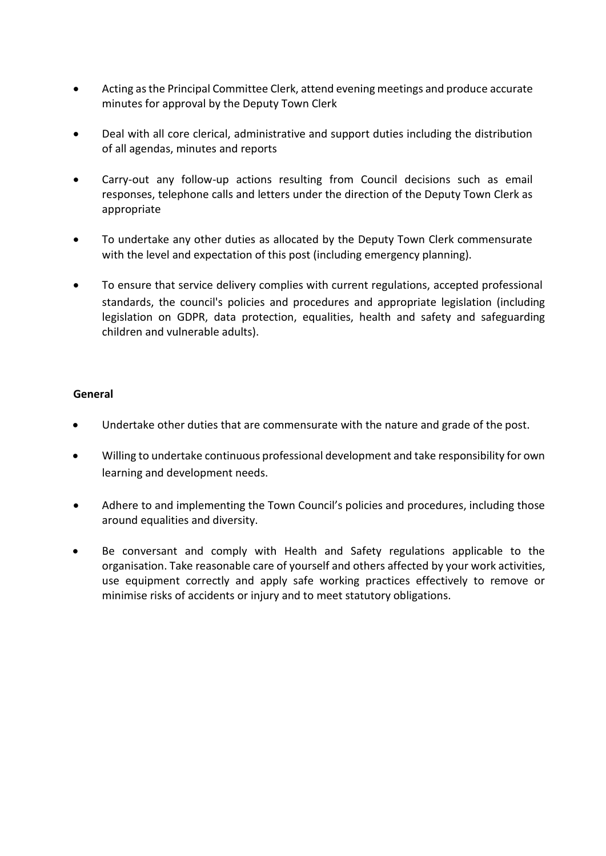- Acting as the Principal Committee Clerk, attend evening meetings and produce accurate minutes for approval by the Deputy Town Clerk
- Deal with all core clerical, administrative and support duties including the distribution of all agendas, minutes and reports
- Carry-out any follow-up actions resulting from Council decisions such as email responses, telephone calls and letters under the direction of the Deputy Town Clerk as appropriate
- To undertake any other duties as allocated by the Deputy Town Clerk commensurate with the level and expectation of this post (including emergency planning).
- To ensure that service delivery complies with current regulations, accepted professional standards, the council's policies and procedures and appropriate legislation (including legislation on GDPR, data protection, equalities, health and safety and safeguarding children and vulnerable adults).

### **General**

- Undertake other duties that are commensurate with the nature and grade of the post.
- Willing to undertake continuous professional development and take responsibility for own learning and development needs.
- Adhere to and implementing the Town Council's policies and procedures, including those around equalities and diversity.
- Be conversant and comply with Health and Safety regulations applicable to the organisation. Take reasonable care of yourself and others affected by your work activities, use equipment correctly and apply safe working practices effectively to remove or minimise risks of accidents or injury and to meet statutory obligations.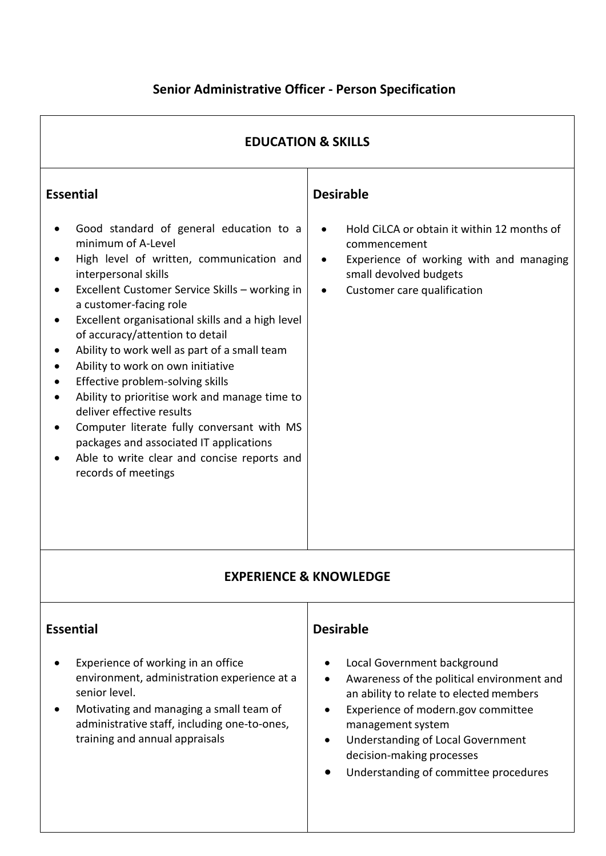# **Senior Administrative Officer - Person Specification**

| <b>EDUCATION &amp; SKILLS</b>                                                                                                                                                                                                                                                                                                                                                                                                                                                                                                                                                                                                                                                                  |                                                                                                                                                                                                                                                                                                                       |  |  |  |
|------------------------------------------------------------------------------------------------------------------------------------------------------------------------------------------------------------------------------------------------------------------------------------------------------------------------------------------------------------------------------------------------------------------------------------------------------------------------------------------------------------------------------------------------------------------------------------------------------------------------------------------------------------------------------------------------|-----------------------------------------------------------------------------------------------------------------------------------------------------------------------------------------------------------------------------------------------------------------------------------------------------------------------|--|--|--|
| <b>Essential</b><br>Good standard of general education to a<br>minimum of A-Level<br>High level of written, communication and<br>interpersonal skills<br>Excellent Customer Service Skills - working in<br>a customer-facing role<br>Excellent organisational skills and a high level<br>of accuracy/attention to detail<br>Ability to work well as part of a small team<br>Ability to work on own initiative<br>Effective problem-solving skills<br>Ability to prioritise work and manage time to<br>deliver effective results<br>Computer literate fully conversant with MS<br>packages and associated IT applications<br>Able to write clear and concise reports and<br>records of meetings | <b>Desirable</b><br>Hold CiLCA or obtain it within 12 months of<br>$\bullet$<br>commencement<br>Experience of working with and managing<br>$\bullet$<br>small devolved budgets<br>Customer care qualification<br>$\bullet$                                                                                            |  |  |  |
|                                                                                                                                                                                                                                                                                                                                                                                                                                                                                                                                                                                                                                                                                                | <b>EXPERIENCE &amp; KNOWLEDGE</b>                                                                                                                                                                                                                                                                                     |  |  |  |
| <b>Essential</b><br>Experience of working in an office<br>environment, administration experience at a<br>senior level.<br>Motivating and managing a small team of<br>administrative staff, including one-to-ones,<br>training and annual appraisals                                                                                                                                                                                                                                                                                                                                                                                                                                            | <b>Desirable</b><br>Local Government background<br>Awareness of the political environment and<br>an ability to relate to elected members<br>Experience of modern.gov committee<br>management system<br><b>Understanding of Local Government</b><br>decision-making processes<br>Understanding of committee procedures |  |  |  |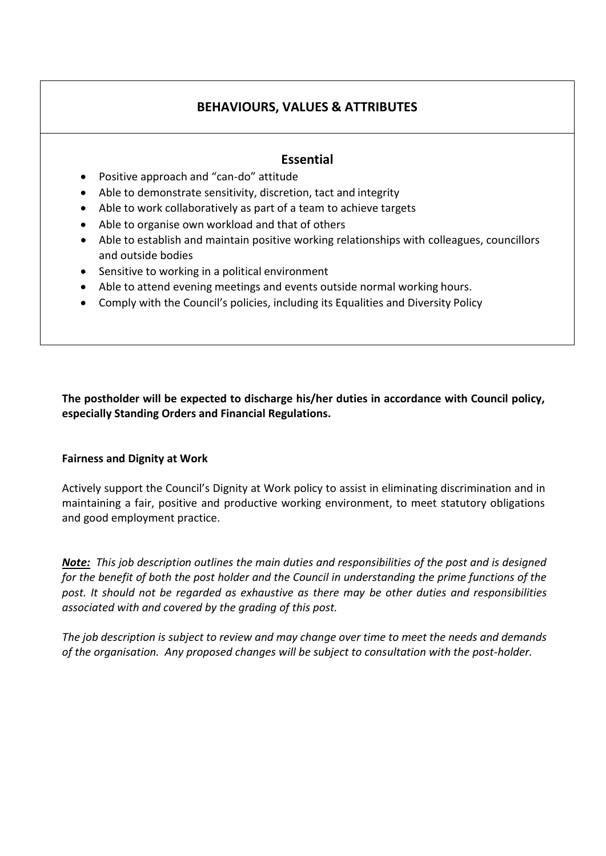## **BEHAVIOURS, VALUES & ATTRIBUTES**

### **Essential**

- Positive approach and "can-do" attitude
- Able to demonstrate sensitivity, discretion, tact and integrity
- Able to work collaboratively as part of a team to achieve targets
- Able to organise own workload and that of others
- Able to establish and maintain positive working relationships with colleagues, councillors and outside bodies
- Sensitive to working in a political environment
- Able to attend evening meetings and events outside normal working hours.
- Comply with the Council's policies, including its Equalities and Diversity Policy

**The postholder will be expected to discharge his/her duties in accordance with Council policy, especially Standing Orders and Financial Regulations.**

### **Fairness and Dignity at Work**

Actively support the Council's Dignity at Work policy to assist in eliminating discrimination and in maintaining a fair, positive and productive working environment, to meet statutory obligations and good employment practice.

*Note: This job description outlines the main duties and responsibilities of the post and is designed for the benefit of both the post holder and the Council in understanding the prime functions of the post. It should not be regarded as exhaustive as there may be other duties and responsibilities associated with and covered by the grading of this post.*

*The job description is subject to review and may change over time to meet the needs and demands of the organisation. Any proposed changes will be subject to consultation with the post-holder.*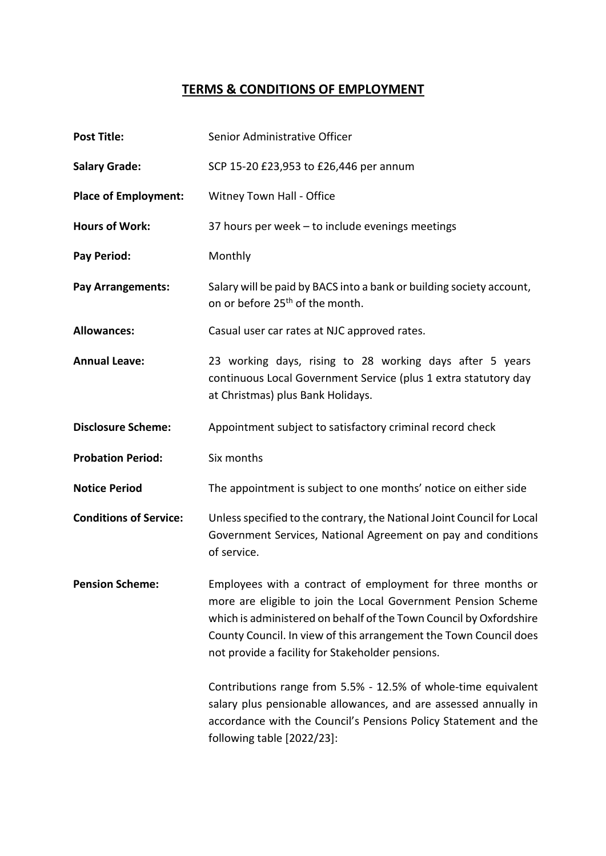## **TERMS & CONDITIONS OF EMPLOYMENT**

| <b>Post Title:</b>            | Senior Administrative Officer                                                                                                                                                                                                                                                                                               |
|-------------------------------|-----------------------------------------------------------------------------------------------------------------------------------------------------------------------------------------------------------------------------------------------------------------------------------------------------------------------------|
| <b>Salary Grade:</b>          | SCP 15-20 £23,953 to £26,446 per annum                                                                                                                                                                                                                                                                                      |
| <b>Place of Employment:</b>   | Witney Town Hall - Office                                                                                                                                                                                                                                                                                                   |
| <b>Hours of Work:</b>         | 37 hours per week - to include evenings meetings                                                                                                                                                                                                                                                                            |
| Pay Period:                   | Monthly                                                                                                                                                                                                                                                                                                                     |
| <b>Pay Arrangements:</b>      | Salary will be paid by BACS into a bank or building society account,<br>on or before 25 <sup>th</sup> of the month.                                                                                                                                                                                                         |
| <b>Allowances:</b>            | Casual user car rates at NJC approved rates.                                                                                                                                                                                                                                                                                |
| <b>Annual Leave:</b>          | 23 working days, rising to 28 working days after 5 years<br>continuous Local Government Service (plus 1 extra statutory day<br>at Christmas) plus Bank Holidays.                                                                                                                                                            |
| <b>Disclosure Scheme:</b>     | Appointment subject to satisfactory criminal record check                                                                                                                                                                                                                                                                   |
| <b>Probation Period:</b>      | Six months                                                                                                                                                                                                                                                                                                                  |
| <b>Notice Period</b>          | The appointment is subject to one months' notice on either side                                                                                                                                                                                                                                                             |
| <b>Conditions of Service:</b> | Unless specified to the contrary, the National Joint Council for Local<br>Government Services, National Agreement on pay and conditions<br>of service.                                                                                                                                                                      |
| <b>Pension Scheme:</b>        | Employees with a contract of employment for three months or<br>more are eligible to join the Local Government Pension Scheme<br>which is administered on behalf of the Town Council by Oxfordshire<br>County Council. In view of this arrangement the Town Council does<br>not provide a facility for Stakeholder pensions. |
|                               | Contributions range from 5.5% - 12.5% of whole-time equivalent<br>salary plus pensionable allowances, and are assessed annually in<br>accordance with the Council's Pensions Policy Statement and the<br>following table [2022/23]:                                                                                         |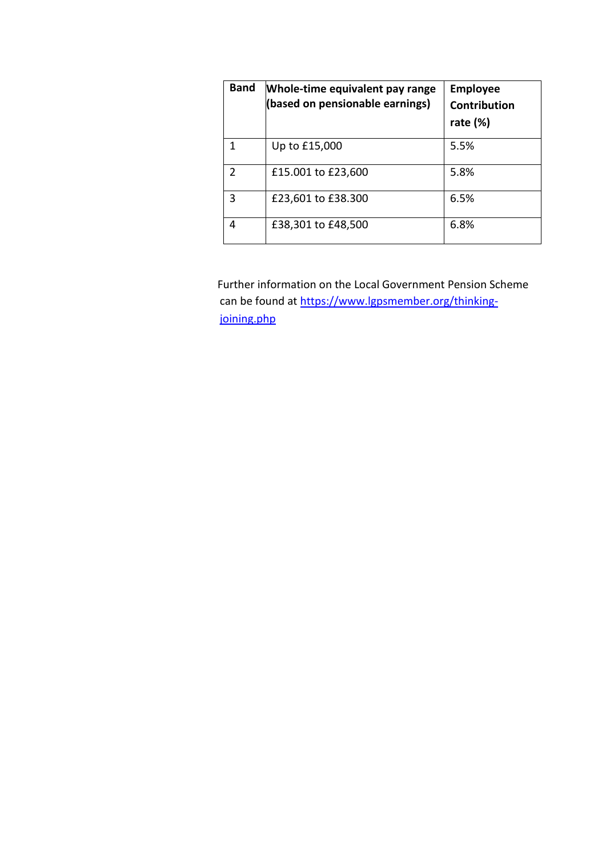| <b>Band</b>   | Whole-time equivalent pay range<br>(based on pensionable earnings) | <b>Employee</b><br>Contribution<br>rate $(\%)$ |
|---------------|--------------------------------------------------------------------|------------------------------------------------|
|               | Up to £15,000                                                      | 5.5%                                           |
| $\mathcal{P}$ | £15.001 to £23,600                                                 | 5.8%                                           |
| 3             | £23,601 to £38.300                                                 | 6.5%                                           |
| 4             | £38,301 to £48,500                                                 | 6.8%                                           |

Further information on the Local Government Pension Scheme can be found at [https://www.lgpsmember.org/thinking](https://www.lgpsmember.org/thinking-joining.php)[joining.php](https://www.lgpsmember.org/thinking-joining.php)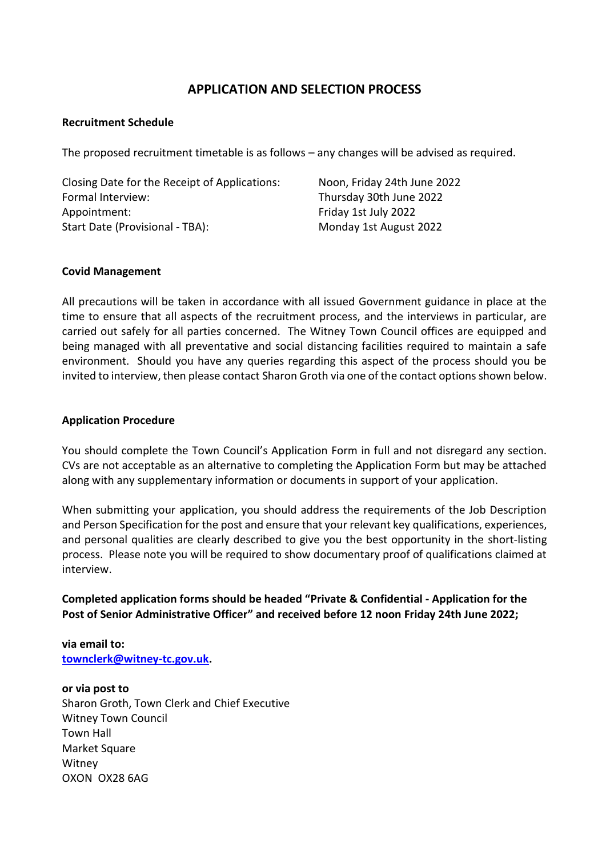### **APPLICATION AND SELECTION PROCESS**

### **Recruitment Schedule**

The proposed recruitment timetable is as follows – any changes will be advised as required.

| Closing Date for the Receipt of Applications: | Noon, Friday 24th June 2022 |
|-----------------------------------------------|-----------------------------|
| Formal Interview:                             | Thursday 30th June 2022     |
| Appointment:                                  | Friday 1st July 2022        |
| Start Date (Provisional - TBA):               | Monday 1st August 2022      |
|                                               |                             |

#### **Covid Management**

All precautions will be taken in accordance with all issued Government guidance in place at the time to ensure that all aspects of the recruitment process, and the interviews in particular, are carried out safely for all parties concerned. The Witney Town Council offices are equipped and being managed with all preventative and social distancing facilities required to maintain a safe environment. Should you have any queries regarding this aspect of the process should you be invited to interview, then please contact Sharon Groth via one of the contact options shown below.

### **Application Procedure**

You should complete the Town Council's Application Form in full and not disregard any section. CVs are not acceptable as an alternative to completing the Application Form but may be attached along with any supplementary information or documents in support of your application.

When submitting your application, you should address the requirements of the Job Description and Person Specification for the post and ensure that your relevant key qualifications, experiences, and personal qualities are clearly described to give you the best opportunity in the short-listing process. Please note you will be required to show documentary proof of qualifications claimed at interview.

**Completed application forms should be headed "Private & Confidential - Application for the Post of Senior Administrative Officer" and received before 12 noon Friday 24th June 2022;**

**via email to: [townclerk@witney-tc.gov.uk.](mailto:townclerk@witney-tc.gov.uk)** 

**or via post to** Sharon Groth, Town Clerk and Chief Executive Witney Town Council Town Hall Market Square Witney OXON OX28 6AG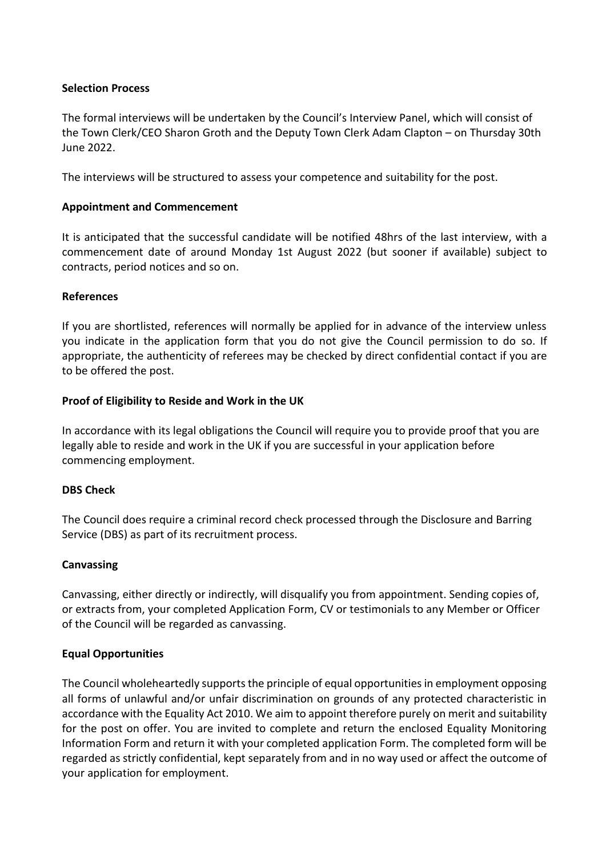### **Selection Process**

The formal interviews will be undertaken by the Council's Interview Panel, which will consist of the Town Clerk/CEO Sharon Groth and the Deputy Town Clerk Adam Clapton – on Thursday 30th June 2022.

The interviews will be structured to assess your competence and suitability for the post.

### **Appointment and Commencement**

It is anticipated that the successful candidate will be notified 48hrs of the last interview, with a commencement date of around Monday 1st August 2022 (but sooner if available) subject to contracts, period notices and so on.

### **References**

If you are shortlisted, references will normally be applied for in advance of the interview unless you indicate in the application form that you do not give the Council permission to do so. If appropriate, the authenticity of referees may be checked by direct confidential contact if you are to be offered the post.

### **Proof of Eligibility to Reside and Work in the UK**

In accordance with its legal obligations the Council will require you to provide proof that you are legally able to reside and work in the UK if you are successful in your application before commencing employment.

### **DBS Check**

The Council does require a criminal record check processed through the Disclosure and Barring Service (DBS) as part of its recruitment process.

### **Canvassing**

Canvassing, either directly or indirectly, will disqualify you from appointment. Sending copies of, or extracts from, your completed Application Form, CV or testimonials to any Member or Officer of the Council will be regarded as canvassing.

### **Equal Opportunities**

The Council wholeheartedly supports the principle of equal opportunities in employment opposing all forms of unlawful and/or unfair discrimination on grounds of any protected characteristic in accordance with the Equality Act 2010. We aim to appoint therefore purely on merit and suitability for the post on offer. You are invited to complete and return the enclosed Equality Monitoring Information Form and return it with your completed application Form. The completed form will be regarded as strictly confidential, kept separately from and in no way used or affect the outcome of your application for employment.